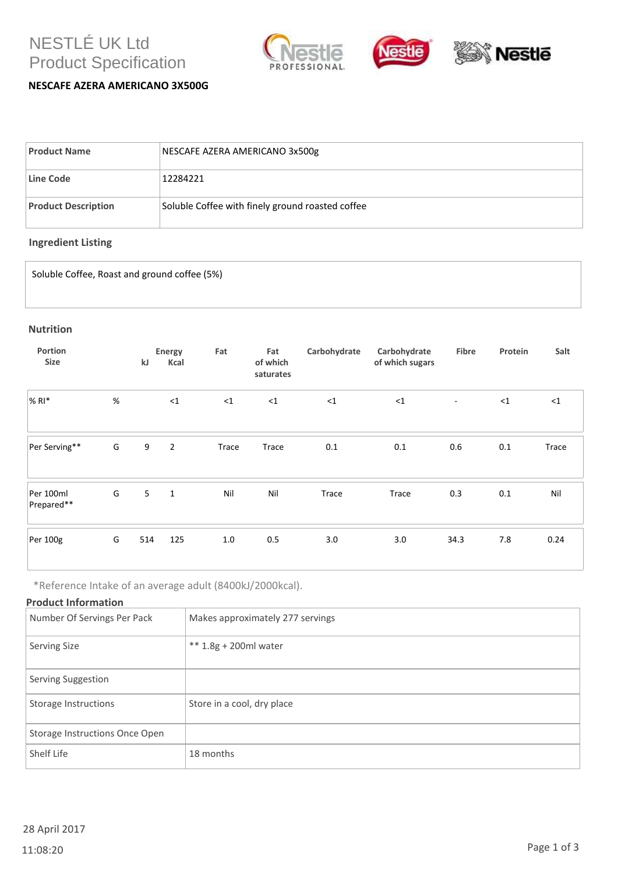# NESTLÉ UK Ltd Product Specification



# **NESCAFE AZERA AMERICANO 3X500G**

| <b>Product Name</b>        | NESCAFE AZERA AMERICANO 3x500g                   |
|----------------------------|--------------------------------------------------|
| Line Code                  | 12284221                                         |
| <b>Product Description</b> | Soluble Coffee with finely ground roasted coffee |

# **Ingredient Listing**

Soluble Coffee, Roast and ground coffee (5%)

#### **Nutrition**

| Portion<br><b>Size</b>  |      | kJ  | Energy<br>Kcal | Fat      | Fat<br>of which<br>saturates | Carbohydrate | Carbohydrate<br>of which sugars | Fibre                    | Protein | Salt     |
|-------------------------|------|-----|----------------|----------|------------------------------|--------------|---------------------------------|--------------------------|---------|----------|
| $%$ RI $*$              | $\%$ |     | <1             | $\leq 1$ | $\leq$ 1                     | $\leq$ 1     | $\leq$ 1                        | $\overline{\phantom{a}}$ | <1      | $\leq$ 1 |
| Per Serving**           | G    | 9   | $\overline{2}$ | Trace    | Trace                        | 0.1          | 0.1                             | 0.6                      | 0.1     | Trace    |
| Per 100ml<br>Prepared** | G    | 5   | $\mathbf{1}$   | Nil      | Nil                          | Trace        | Trace                           | 0.3                      | 0.1     | Nil      |
| Per 100g                | G    | 514 | 125            | 1.0      | 0.5                          | 3.0          | 3.0                             | 34.3                     | 7.8     | 0.24     |

\*Reference Intake of an average adult (8400kJ/2000kcal).

## **Product Information**

| Number Of Servings Per Pack    | Makes approximately 277 servings |
|--------------------------------|----------------------------------|
| Serving Size                   | ** $1.8g + 200ml$ water          |
| Serving Suggestion             |                                  |
| Storage Instructions           | Store in a cool, dry place       |
| Storage Instructions Once Open |                                  |
| Shelf Life                     | 18 months                        |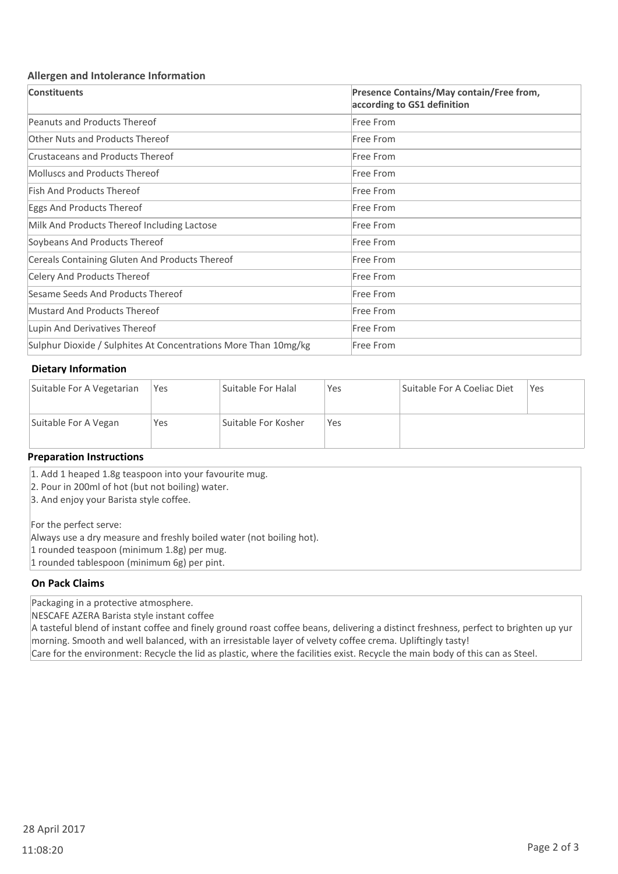### **Allergen and Intolerance Information**

| <b>Constituents</b>                                             | Presence Contains/May contain/Free from,<br>according to GS1 definition |
|-----------------------------------------------------------------|-------------------------------------------------------------------------|
| <b>Peanuts and Products Thereof</b>                             | Free From                                                               |
| <b>Other Nuts and Products Thereof</b>                          | Free From                                                               |
| <b>Crustaceans and Products Thereof</b>                         | Free From                                                               |
| Molluscs and Products Thereof                                   | Free From                                                               |
| <b>Fish And Products Thereof</b>                                | Free From                                                               |
| Eggs And Products Thereof                                       | Free From                                                               |
| Milk And Products Thereof Including Lactose                     | Free From                                                               |
| Soybeans And Products Thereof                                   | Free From                                                               |
| Cereals Containing Gluten And Products Thereof                  | Free From                                                               |
| Celery And Products Thereof                                     | Free From                                                               |
| Sesame Seeds And Products Thereof                               | Free From                                                               |
| Mustard And Products Thereof                                    | Free From                                                               |
| Lupin And Derivatives Thereof                                   | Free From                                                               |
| Sulphur Dioxide / Sulphites At Concentrations More Than 10mg/kg | Free From                                                               |

## **Dietary Information**

| Suitable For A Vegetarian | Yes | Suitable For Halal  | Yes | Suitable For A Coeliac Diet | Yes |
|---------------------------|-----|---------------------|-----|-----------------------------|-----|
| Suitable For A Vegan      | Yes | Suitable For Kosher | Yes |                             |     |

#### **Preparation Instructions**

1. Add 1 heaped 1.8g teaspoon into your favourite mug.

2. Pour in 200ml of hot (but not boiling) water.

3. And enjoy your Barista style coffee.

For the perfect serve:

Always use a dry measure and freshly boiled water (not boiling hot).

- 1 rounded teaspoon (minimum 1.8g) per mug.
- 1 rounded tablespoon (minimum 6g) per pint.

## **On Pack Claims**

Packaging in a protective atmosphere.

NESCAFE AZERA Barista style instant coffee

A tasteful blend of instant coffee and finely ground roast coffee beans, delivering a distinct freshness, perfect to brighten up yur morning. Smooth and well balanced, with an irresistable layer of velvety coffee crema. Upliftingly tasty! Care for the environment: Recycle the lid as plastic, where the facilities exist. Recycle the main body of this can as Steel.